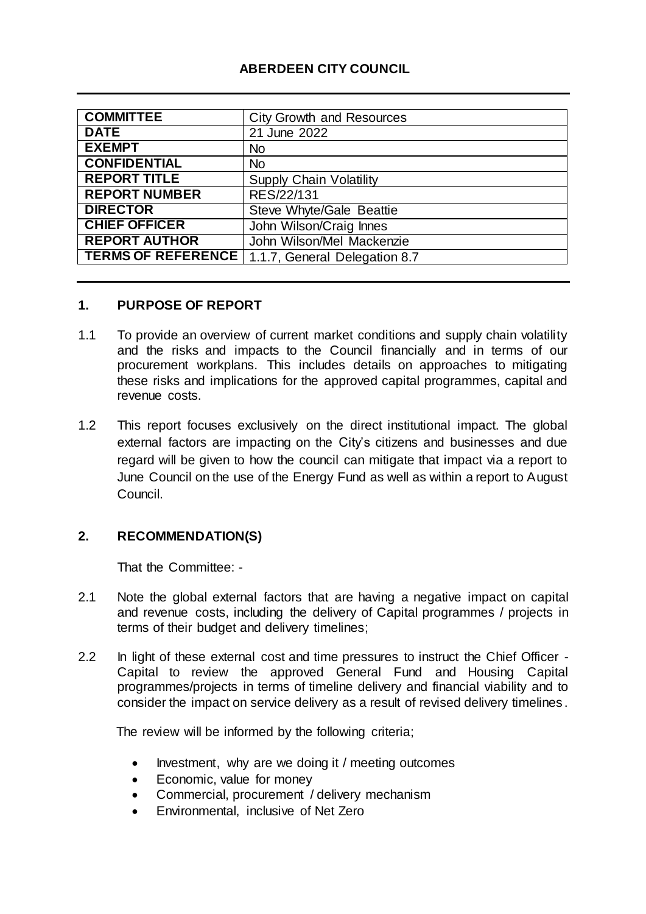## **ABERDEEN CITY COUNCIL**

| <b>COMMITTEE</b>          | <b>City Growth and Resources</b> |
|---------------------------|----------------------------------|
| <b>DATE</b>               | 21 June 2022                     |
| <b>EXEMPT</b>             | <b>No</b>                        |
| <b>CONFIDENTIAL</b>       | <b>No</b>                        |
| <b>REPORT TITLE</b>       | <b>Supply Chain Volatility</b>   |
| <b>REPORT NUMBER</b>      | RES/22/131                       |
| <b>DIRECTOR</b>           | Steve Whyte/Gale Beattie         |
| <b>CHIEF OFFICER</b>      | John Wilson/Craig Innes          |
| <b>REPORT AUTHOR</b>      | John Wilson/Mel Mackenzie        |
| <b>TERMS OF REFERENCE</b> | 1.1.7, General Delegation 8.7    |

## **1. PURPOSE OF REPORT**

- 1.1 To provide an overview of current market conditions and supply chain volatility and the risks and impacts to the Council financially and in terms of our procurement workplans. This includes details on approaches to mitigating these risks and implications for the approved capital programmes, capital and revenue costs.
- 1.2 This report focuses exclusively on the direct institutional impact. The global external factors are impacting on the City's citizens and businesses and due regard will be given to how the council can mitigate that impact via a report to June Council on the use of the Energy Fund as well as within a report to August Council.

## **2. RECOMMENDATION(S)**

That the Committee: -

- 2.1 Note the global external factors that are having a negative impact on capital and revenue costs, including the delivery of Capital programmes / projects in terms of their budget and delivery timelines;
- 2.2 In light of these external cost and time pressures to instruct the Chief Officer Capital to review the approved General Fund and Housing Capital programmes/projects in terms of timeline delivery and financial viability and to consider the impact on service delivery as a result of revised delivery timelines .

The review will be informed by the following criteria;

- Investment, why are we doing it / meeting outcomes
- Economic, value for money
- Commercial, procurement / delivery mechanism
- Environmental, inclusive of Net Zero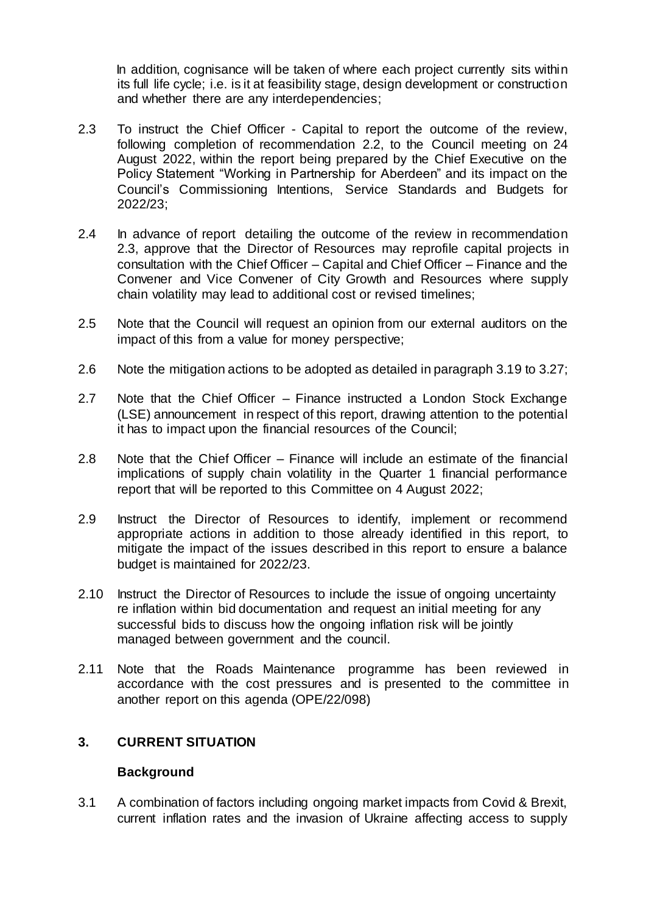In addition, cognisance will be taken of where each project currently sits within its full life cycle; i.e. is it at feasibility stage, design development or construction and whether there are any interdependencies;

- 2.3 To instruct the Chief Officer Capital to report the outcome of the review, following completion of recommendation 2.2, to the Council meeting on 24 August 2022, within the report being prepared by the Chief Executive on the Policy Statement "Working in Partnership for Aberdeen" and its impact on the Council's Commissioning Intentions, Service Standards and Budgets for 2022/23;
- 2.4 In advance of report detailing the outcome of the review in recommendation 2.3, approve that the Director of Resources may reprofile capital projects in consultation with the Chief Officer – Capital and Chief Officer – Finance and the Convener and Vice Convener of City Growth and Resources where supply chain volatility may lead to additional cost or revised timelines;
- 2.5 Note that the Council will request an opinion from our external auditors on the impact of this from a value for money perspective;
- 2.6 Note the mitigation actions to be adopted as detailed in paragraph 3.19 to 3.27;
- 2.7 Note that the Chief Officer Finance instructed a London Stock Exchange (LSE) announcement in respect of this report, drawing attention to the potential it has to impact upon the financial resources of the Council;
- 2.8 Note that the Chief Officer Finance will include an estimate of the financial implications of supply chain volatility in the Quarter 1 financial performance report that will be reported to this Committee on 4 August 2022;
- 2.9 Instruct the Director of Resources to identify, implement or recommend appropriate actions in addition to those already identified in this report, to mitigate the impact of the issues described in this report to ensure a balance budget is maintained for 2022/23.
- 2.10 Instruct the Director of Resources to include the issue of ongoing uncertainty re inflation within bid documentation and request an initial meeting for any successful bids to discuss how the ongoing inflation risk will be jointly managed between government and the council.
- 2.11 Note that the Roads Maintenance programme has been reviewed in accordance with the cost pressures and is presented to the committee in another report on this agenda (OPE/22/098)

### **3. CURRENT SITUATION**

#### **Background**

3.1 A combination of factors including ongoing market impacts from Covid & Brexit, current inflation rates and the invasion of Ukraine affecting access to supply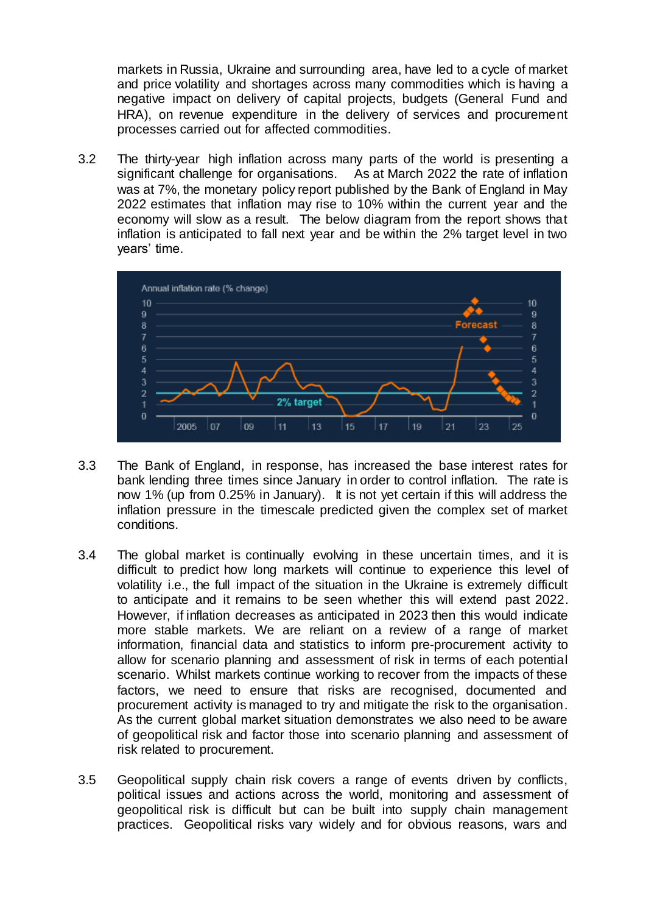markets in Russia, Ukraine and surrounding area, have led to a cycle of market and price volatility and shortages across many commodities which is having a negative impact on delivery of capital projects, budgets (General Fund and HRA), on revenue expenditure in the delivery of services and procurement processes carried out for affected commodities.

3.2 The thirty-year high inflation across many parts of the world is presenting a significant challenge for organisations. As at March 2022 the rate of inflation was at 7%, the monetary policy report published by the Bank of England in May 2022 estimates that inflation may rise to 10% within the current year and the economy will slow as a result. The below diagram from the report shows that inflation is anticipated to fall next year and be within the 2% target level in two years' time.



- 3.3 The Bank of England, in response, has increased the base interest rates for bank lending three times since January in order to control inflation. The rate is now 1% (up from 0.25% in January). It is not yet certain if this will address the inflation pressure in the timescale predicted given the complex set of market conditions.
- 3.4 The global market is continually evolving in these uncertain times, and it is difficult to predict how long markets will continue to experience this level of volatility i.e., the full impact of the situation in the Ukraine is extremely difficult to anticipate and it remains to be seen whether this will extend past 2022. However, if inflation decreases as anticipated in 2023 then this would indicate more stable markets. We are reliant on a review of a range of market information, financial data and statistics to inform pre-procurement activity to allow for scenario planning and assessment of risk in terms of each potential scenario. Whilst markets continue working to recover from the impacts of these factors, we need to ensure that risks are recognised, documented and procurement activity is managed to try and mitigate the risk to the organisation. As the current global market situation demonstrates we also need to be aware of geopolitical risk and factor those into scenario planning and assessment of risk related to procurement.
- 3.5 Geopolitical supply chain risk covers a range of events driven by conflicts, political issues and actions across the world, monitoring and assessment of geopolitical risk is difficult but can be built into supply chain management practices. Geopolitical risks vary widely and for obvious reasons, wars and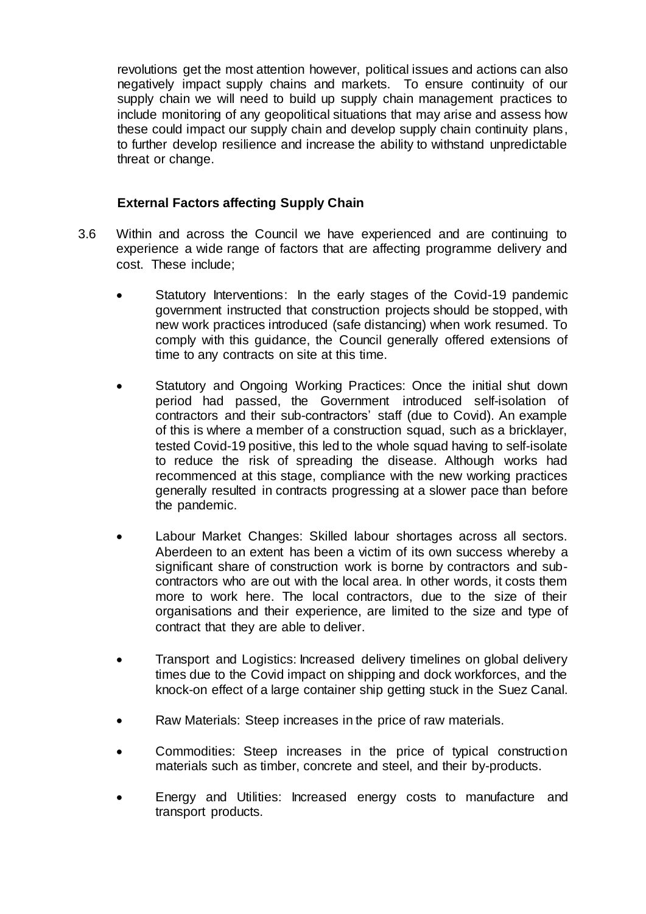revolutions get the most attention however, political issues and actions can also negatively impact supply chains and markets. To ensure continuity of our supply chain we will need to build up supply chain management practices to include monitoring of any geopolitical situations that may arise and assess how these could impact our supply chain and develop supply chain continuity plans, to further develop resilience and increase the ability to withstand unpredictable threat or change.

### **External Factors affecting Supply Chain**

- 3.6 Within and across the Council we have experienced and are continuing to experience a wide range of factors that are affecting programme delivery and cost. These include;
	- Statutory Interventions: In the early stages of the Covid-19 pandemic government instructed that construction projects should be stopped, with new work practices introduced (safe distancing) when work resumed. To comply with this guidance, the Council generally offered extensions of time to any contracts on site at this time.
	- Statutory and Ongoing Working Practices: Once the initial shut down period had passed, the Government introduced self-isolation of contractors and their sub-contractors' staff (due to Covid). An example of this is where a member of a construction squad, such as a bricklayer, tested Covid-19 positive, this led to the whole squad having to self-isolate to reduce the risk of spreading the disease. Although works had recommenced at this stage, compliance with the new working practices generally resulted in contracts progressing at a slower pace than before the pandemic.
	- Labour Market Changes: Skilled labour shortages across all sectors. Aberdeen to an extent has been a victim of its own success whereby a significant share of construction work is borne by contractors and subcontractors who are out with the local area. In other words, it costs them more to work here. The local contractors, due to the size of their organisations and their experience, are limited to the size and type of contract that they are able to deliver.
	- Transport and Logistics: Increased delivery timelines on global delivery times due to the Covid impact on shipping and dock workforces, and the knock-on effect of a large container ship getting stuck in the Suez Canal.
	- Raw Materials: Steep increases in the price of raw materials.
	- Commodities: Steep increases in the price of typical construction materials such as timber, concrete and steel, and their by-products.
	- Energy and Utilities: Increased energy costs to manufacture and transport products.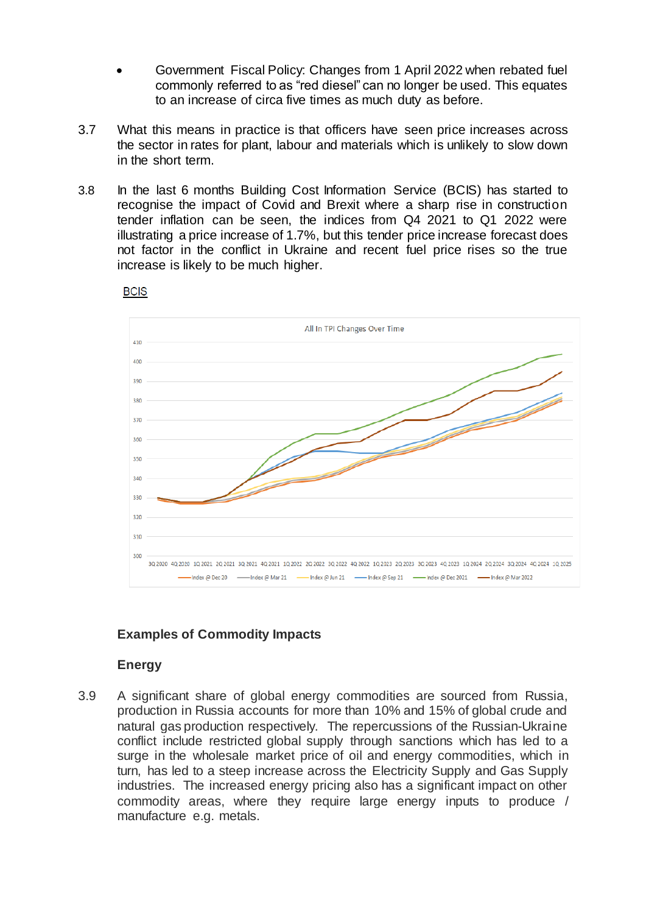- Government Fiscal Policy: Changes from 1 April 2022 when rebated fuel commonly referred to as "red diesel" can no longer be used. This equates to an increase of circa five times as much duty as before.
- 3.7 What this means in practice is that officers have seen price increases across the sector in rates for plant, labour and materials which is unlikely to slow down in the short term.
- 3.8 In the last 6 months Building Cost Information Service (BCIS) has started to recognise the impact of Covid and Brexit where a sharp rise in construction tender inflation can be seen, the indices from Q4 2021 to Q1 2022 were illustrating a price increase of 1.7%, but this tender price increase forecast does not factor in the conflict in Ukraine and recent fuel price rises so the true increase is likely to be much higher.



#### **BCIS**

## **Examples of Commodity Impacts**

#### **Energy**

3.9 A significant share of global energy commodities are sourced from Russia, production in Russia accounts for more than 10% and 15% of global crude and natural gas production respectively. The repercussions of the Russian-Ukraine conflict include restricted global supply through sanctions which has led to a surge in the wholesale market price of oil and energy commodities, which in turn, has led to a steep increase across the Electricity Supply and Gas Supply industries. The increased energy pricing also has a significant impact on other commodity areas, where they require large energy inputs to produce / manufacture e.g. metals.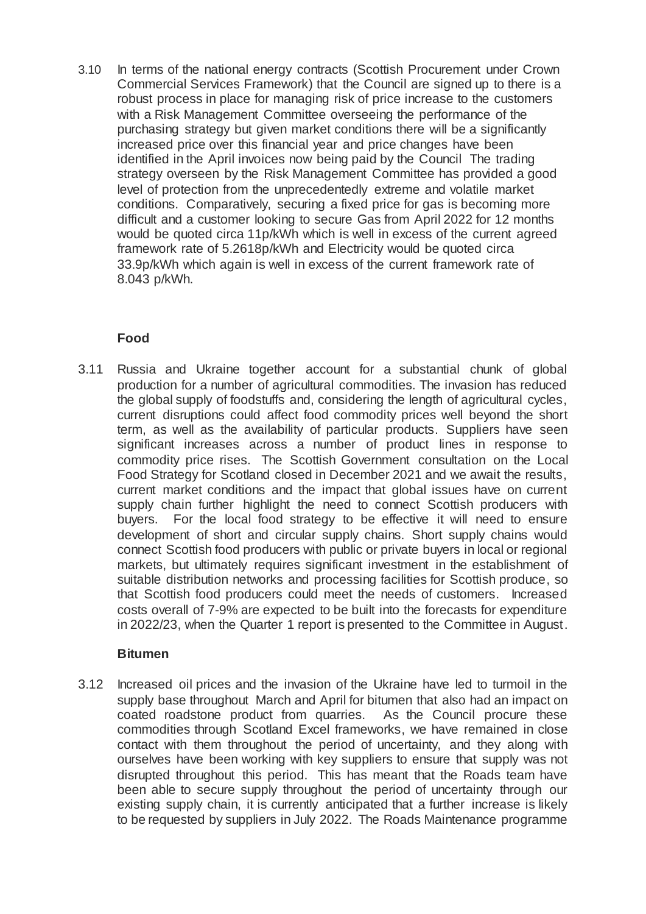3.10 In terms of the national energy contracts (Scottish Procurement under Crown Commercial Services Framework) that the Council are signed up to there is a robust process in place for managing risk of price increase to the customers with a Risk Management Committee overseeing the performance of the purchasing strategy but given market conditions there will be a significantly increased price over this financial year and price changes have been identified in the April invoices now being paid by the Council The trading strategy overseen by the Risk Management Committee has provided a good level of protection from the unprecedentedly extreme and volatile market conditions. Comparatively, securing a fixed price for gas is becoming more difficult and a customer looking to secure Gas from April 2022 for 12 months would be quoted circa 11p/kWh which is well in excess of the current agreed framework rate of 5.2618p/kWh and Electricity would be quoted circa 33.9p/kWh which again is well in excess of the current framework rate of 8.043 p/kWh.

### **Food**

3.11 Russia and Ukraine together account for a substantial chunk of global production for a number of agricultural commodities. The invasion has reduced the global supply of foodstuffs and, considering the length of agricultural cycles, current disruptions could affect food commodity prices well beyond the short term, as well as the availability of particular products. Suppliers have seen significant increases across a number of product lines in response to commodity price rises. The Scottish Government consultation on the Local Food Strategy for Scotland closed in December 2021 and we await the results, current market conditions and the impact that global issues have on current supply chain further highlight the need to connect Scottish producers with buyers. For the local food strategy to be effective it will need to ensure development of short and circular supply chains. Short supply chains would connect Scottish food producers with public or private buyers in local or regional markets, but ultimately requires significant investment in the establishment of suitable distribution networks and processing facilities for Scottish produce, so that Scottish food producers could meet the needs of customers. Increased costs overall of 7-9% are expected to be built into the forecasts for expenditure in 2022/23, when the Quarter 1 report is presented to the Committee in August.

#### **Bitumen**

3.12 Increased oil prices and the invasion of the Ukraine have led to turmoil in the supply base throughout March and April for bitumen that also had an impact on coated roadstone product from quarries. As the Council procure these commodities through Scotland Excel frameworks, we have remained in close contact with them throughout the period of uncertainty, and they along with ourselves have been working with key suppliers to ensure that supply was not disrupted throughout this period. This has meant that the Roads team have been able to secure supply throughout the period of uncertainty through our existing supply chain, it is currently anticipated that a further increase is likely to be requested by suppliers in July 2022. The Roads Maintenance programme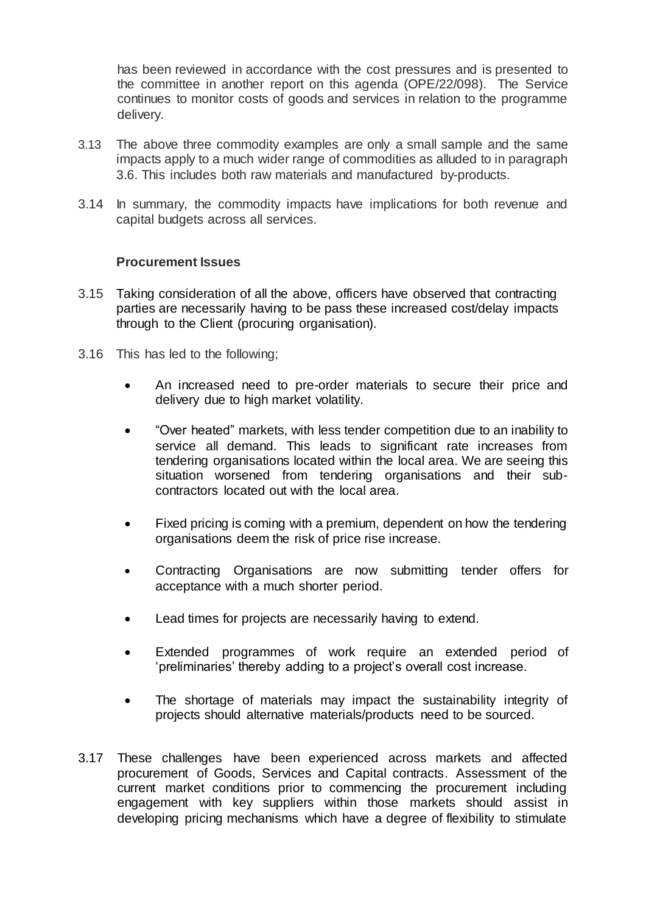has been reviewed in accordance with the cost pressures and is presented to the committee in another report on this agenda (OPE/22/098). The Service continues to monitor costs of goods and services in relation to the programme delivery.

- 3.13 The above three commodity examples are only a small sample and the same impacts apply to a much wider range of commodities as alluded to in paragraph 3.6. This includes both raw materials and manufactured by-products.
- 3.14 In summary, the commodity impacts have implications for both revenue and capital budgets across all services.

#### **Procurement Issues**

- 3.15 Taking consideration of all the above, officers have observed that contracting parties are necessarily having to be pass these increased cost/delay impacts through to the Client (procuring organisation).
- 3.16 This has led to the following;
	- An increased need to pre-order materials to secure their price and delivery due to high market volatility.
	- "Over heated" markets, with less tender competition due to an inability to service all demand. This leads to significant rate increases from tendering organisations located within the local area. We are seeing this situation worsened from tendering organisations and their subcontractors located out with the local area.
	- Fixed pricing is coming with a premium, dependent on how the tendering organisations deem the risk of price rise increase.
	- Contracting Organisations are now submitting tender offers for acceptance with a much shorter period.
	- Lead times for projects are necessarily having to extend.
	- Extended programmes of work require an extended period of 'preliminaries' thereby adding to a project's overall cost increase.
	- The shortage of materials may impact the sustainability integrity of projects should alternative materials/products need to be sourced.
- 3.17 These challenges have been experienced across markets and affected procurement of Goods, Services and Capital contracts. Assessment of the current market conditions prior to commencing the procurement including engagement with key suppliers within those markets should assist in developing pricing mechanisms which have a degree of flexibility to stimulate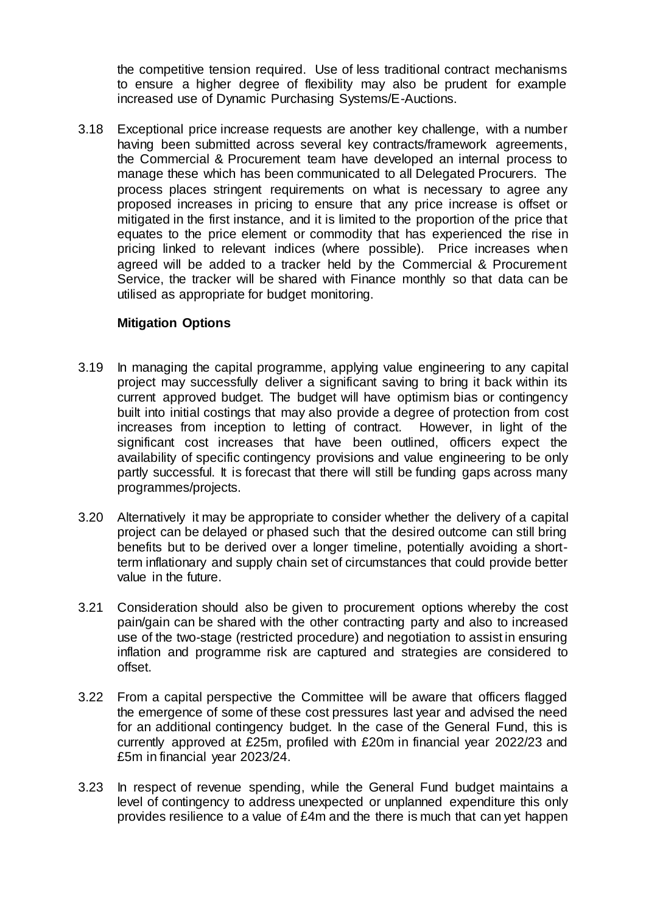the competitive tension required. Use of less traditional contract mechanisms to ensure a higher degree of flexibility may also be prudent for example increased use of Dynamic Purchasing Systems/E-Auctions.

3.18 Exceptional price increase requests are another key challenge, with a number having been submitted across several key contracts/framework agreements, the Commercial & Procurement team have developed an internal process to manage these which has been communicated to all Delegated Procurers. The process places stringent requirements on what is necessary to agree any proposed increases in pricing to ensure that any price increase is offset or mitigated in the first instance, and it is limited to the proportion of the price that equates to the price element or commodity that has experienced the rise in pricing linked to relevant indices (where possible). Price increases when agreed will be added to a tracker held by the Commercial & Procurement Service, the tracker will be shared with Finance monthly so that data can be utilised as appropriate for budget monitoring.

#### **Mitigation Options**

- 3.19 In managing the capital programme, applying value engineering to any capital project may successfully deliver a significant saving to bring it back within its current approved budget. The budget will have optimism bias or contingency built into initial costings that may also provide a degree of protection from cost increases from inception to letting of contract. However, in light of the significant cost increases that have been outlined, officers expect the availability of specific contingency provisions and value engineering to be only partly successful. It is forecast that there will still be funding gaps across many programmes/projects.
- 3.20 Alternatively it may be appropriate to consider whether the delivery of a capital project can be delayed or phased such that the desired outcome can still bring benefits but to be derived over a longer timeline, potentially avoiding a shortterm inflationary and supply chain set of circumstances that could provide better value in the future.
- 3.21 Consideration should also be given to procurement options whereby the cost pain/gain can be shared with the other contracting party and also to increased use of the two-stage (restricted procedure) and negotiation to assist in ensuring inflation and programme risk are captured and strategies are considered to offset.
- 3.22 From a capital perspective the Committee will be aware that officers flagged the emergence of some of these cost pressures last year and advised the need for an additional contingency budget. In the case of the General Fund, this is currently approved at £25m, profiled with £20m in financial year 2022/23 and £5m in financial year 2023/24.
- 3.23 In respect of revenue spending, while the General Fund budget maintains a level of contingency to address unexpected or unplanned expenditure this only provides resilience to a value of £4m and the there is much that can yet happen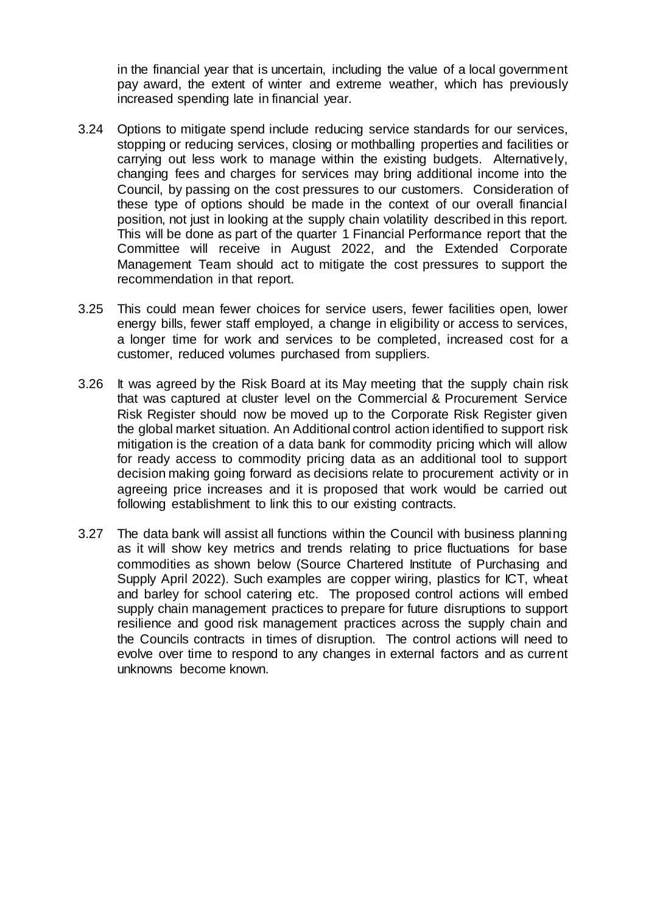in the financial year that is uncertain, including the value of a local government pay award, the extent of winter and extreme weather, which has previously increased spending late in financial year.

- 3.24 Options to mitigate spend include reducing service standards for our services, stopping or reducing services, closing or mothballing properties and facilities or carrying out less work to manage within the existing budgets. Alternatively, changing fees and charges for services may bring additional income into the Council, by passing on the cost pressures to our customers. Consideration of these type of options should be made in the context of our overall financial position, not just in looking at the supply chain volatility described in this report. This will be done as part of the quarter 1 Financial Performance report that the Committee will receive in August 2022, and the Extended Corporate Management Team should act to mitigate the cost pressures to support the recommendation in that report.
- 3.25 This could mean fewer choices for service users, fewer facilities open, lower energy bills, fewer staff employed, a change in eligibility or access to services, a longer time for work and services to be completed, increased cost for a customer, reduced volumes purchased from suppliers.
- 3.26 It was agreed by the Risk Board at its May meeting that the supply chain risk that was captured at cluster level on the Commercial & Procurement Service Risk Register should now be moved up to the Corporate Risk Register given the global market situation. An Additional control action identified to support risk mitigation is the creation of a data bank for commodity pricing which will allow for ready access to commodity pricing data as an additional tool to support decision making going forward as decisions relate to procurement activity or in agreeing price increases and it is proposed that work would be carried out following establishment to link this to our existing contracts.
- 3.27 The data bank will assist all functions within the Council with business planning as it will show key metrics and trends relating to price fluctuations for base commodities as shown below (Source Chartered Institute of Purchasing and Supply April 2022). Such examples are copper wiring, plastics for ICT, wheat and barley for school catering etc. The proposed control actions will embed supply chain management practices to prepare for future disruptions to support resilience and good risk management practices across the supply chain and the Councils contracts in times of disruption. The control actions will need to evolve over time to respond to any changes in external factors and as current unknowns become known.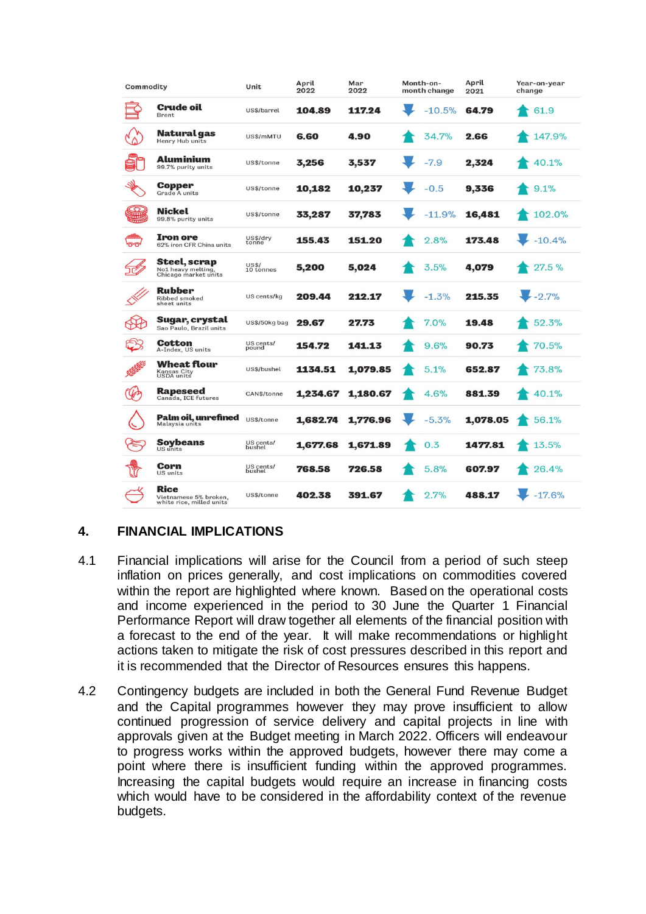| Commodity                   |                                                            | Unit                      | April<br>2022 | Mar<br>2022 | Month-on-<br>month change | April<br>2021 | Year-on-year<br>change |
|-----------------------------|------------------------------------------------------------|---------------------------|---------------|-------------|---------------------------|---------------|------------------------|
|                             | Crude oil<br><b>Brent</b>                                  | US\$/barrel               | 104.89        | 117.24      | $-10.5%$                  | 64.79         | 61.9                   |
|                             | Natural gas<br>Henry Hub units                             | US\$/mMTU                 | 6.60          | 4.90        | 34.7%                     | 2.66          | 147.9%                 |
|                             | Aluminium<br>99.7% purity units                            | US\$/tonne                | 3,256         | 3,537       | $-7.9$                    | 2,324         | 40.1%                  |
|                             | Copper<br>Grade A units                                    | US\$/tonne                | 10,182        | 10,237      | $-0.5$                    | 9,336         | 9.1%                   |
| $\boldsymbol{\Omega}$<br>WH | Nickel<br>99.8% purity units                               | US\$/tonne                | 33,287        | 37,783      | $-11.9%$                  | 16,481        | 102.0%                 |
| ೧೧                          | Iron ore<br>62% iron CFR China units                       | US\$/dry<br>tonne         | 155.43        | 151.20      | 2.8%                      | 173.48        | $-10.4%$               |
|                             | Steel, scrap<br>No1 heavy melting,<br>Chicago market units | <b>US\$/</b><br>10 tonnes | 5,200         | 5,024       | 3.5%                      | 4,079         | 27.5%                  |
|                             | Rubber<br>Ribbed smoked<br>sheet units                     | US cents/kg               | 209.44        | 212.17      | $-1.3%$                   | 215.35        | $-2.7%$                |
|                             | Sugar, crystal<br>Sao Paulo, Brazil units                  | US\$/50kg bag             | 29.67         | 27.73       | $7.0\%$                   | 19.48         | 52.3%                  |
| Œ                           | Cotton<br>A-Index, US units                                | US cents/<br>pound        | 154.72        | 141.13      | 9.6%                      | 90.73         | 70.5%                  |
|                             | Wheat flour<br>Kansas City<br>USDA units                   | US\$/bushel               | 1134.51       | 1,079.85    | 5.1%                      | 652.87        | 73.8%                  |
|                             | Rapeseed<br>Canada, ICE futures                            | CAN\$/tonne               | 1,234.67      | 1,180.67    | 4.6%                      | 881.39        | 40.1%                  |
|                             | Palm oil, unrefined<br>Malaysia units                      | US\$/tonne                | 1,682.74      | 1,776.96    | $-5.3%$                   | 1,078.05      | 56.1%                  |
|                             | <b>Soybeans</b><br>US units                                | US cents/<br>bushel       | 1,677.68      | 1,671.89    | 0.3                       | 1477.81       | 13.5%                  |
|                             | Corn<br><b>US</b> units                                    | US cents/<br>bushel       | 768.58        | 726.58      | 5.8%                      | 607.97        | 26.4%                  |
|                             | Rice<br>Vietnamese 5% broken,<br>white rice, milled units  | US\$/tonne                | 402.38        | 391.67      | 2.7%                      | 488.17        | $-17.6%$               |

## **4. FINANCIAL IMPLICATIONS**

- 4.1 Financial implications will arise for the Council from a period of such steep inflation on prices generally, and cost implications on commodities covered within the report are highlighted where known. Based on the operational costs and income experienced in the period to 30 June the Quarter 1 Financial Performance Report will draw together all elements of the financial position with a forecast to the end of the year. It will make recommendations or highlight actions taken to mitigate the risk of cost pressures described in this report and it is recommended that the Director of Resources ensures this happens.
- 4.2 Contingency budgets are included in both the General Fund Revenue Budget and the Capital programmes however they may prove insufficient to allow continued progression of service delivery and capital projects in line with approvals given at the Budget meeting in March 2022. Officers will endeavour to progress works within the approved budgets, however there may come a point where there is insufficient funding within the approved programmes. Increasing the capital budgets would require an increase in financing costs which would have to be considered in the affordability context of the revenue budgets.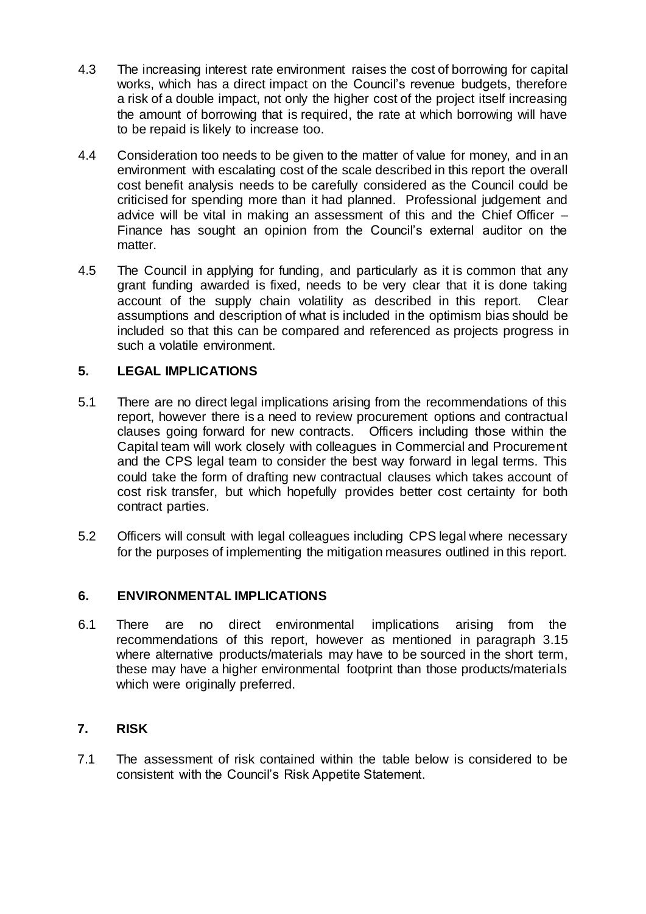- 4.3 The increasing interest rate environment raises the cost of borrowing for capital works, which has a direct impact on the Council's revenue budgets, therefore a risk of a double impact, not only the higher cost of the project itself increasing the amount of borrowing that is required, the rate at which borrowing will have to be repaid is likely to increase too.
- 4.4 Consideration too needs to be given to the matter of value for money, and in an environment with escalating cost of the scale described in this report the overall cost benefit analysis needs to be carefully considered as the Council could be criticised for spending more than it had planned. Professional judgement and advice will be vital in making an assessment of this and the Chief Officer – Finance has sought an opinion from the Council's external auditor on the matter.
- 4.5 The Council in applying for funding, and particularly as it is common that any grant funding awarded is fixed, needs to be very clear that it is done taking account of the supply chain volatility as described in this report. Clear assumptions and description of what is included in the optimism bias should be included so that this can be compared and referenced as projects progress in such a volatile environment.

## **5. LEGAL IMPLICATIONS**

- 5.1 There are no direct legal implications arising from the recommendations of this report, however there is a need to review procurement options and contractual clauses going forward for new contracts. Officers including those within the Capital team will work closely with colleagues in Commercial and Procurement and the CPS legal team to consider the best way forward in legal terms. This could take the form of drafting new contractual clauses which takes account of cost risk transfer, but which hopefully provides better cost certainty for both contract parties.
- 5.2 Officers will consult with legal colleagues including CPS legal where necessary for the purposes of implementing the mitigation measures outlined in this report.

#### **6. ENVIRONMENTAL IMPLICATIONS**

6.1 There are no direct environmental implications arising from the recommendations of this report, however as mentioned in paragraph 3.15 where alternative products/materials may have to be sourced in the short term, these may have a higher environmental footprint than those products/materials which were originally preferred.

#### **7. RISK**

7.1 The assessment of risk contained within the table below is considered to be consistent with the Council's Risk Appetite Statement.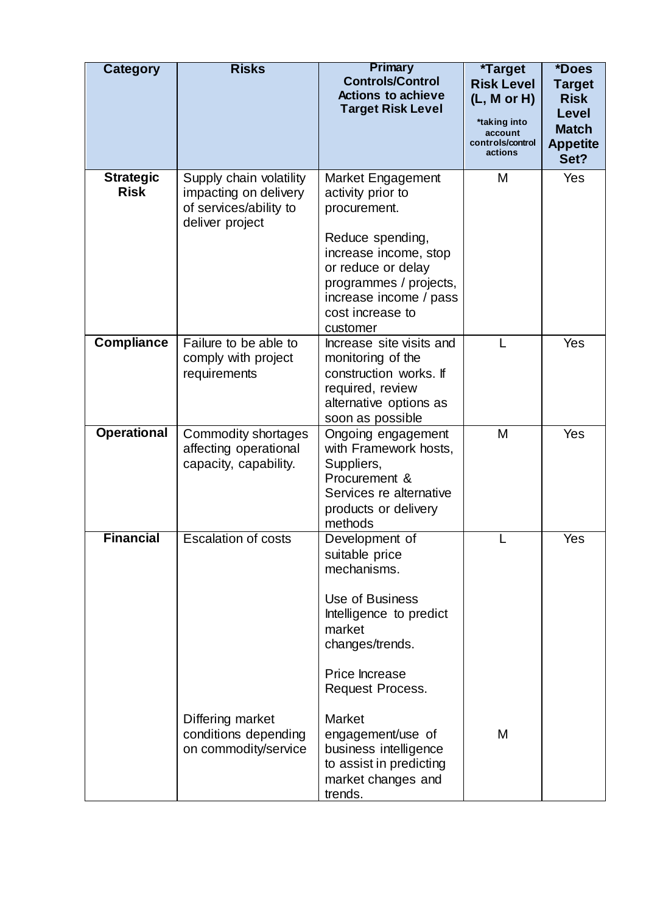| <b>Category</b>                 | <b>Risks</b>                                                                                  | Primary<br><b>Controls/Control</b><br><b>Actions to achieve</b><br><b>Target Risk Level</b>                                                                                                                   | *Target<br><b>Risk Level</b><br>(L, M or H)<br>*taking into<br>account<br>controls/control<br>actions | *Does<br><b>Target</b><br><b>Risk</b><br><b>Level</b><br><b>Match</b><br><b>Appetite</b><br>Set? |
|---------------------------------|-----------------------------------------------------------------------------------------------|---------------------------------------------------------------------------------------------------------------------------------------------------------------------------------------------------------------|-------------------------------------------------------------------------------------------------------|--------------------------------------------------------------------------------------------------|
| <b>Strategic</b><br><b>Risk</b> | Supply chain volatility<br>impacting on delivery<br>of services/ability to<br>deliver project | Market Engagement<br>activity prior to<br>procurement.<br>Reduce spending,<br>increase income, stop<br>or reduce or delay<br>programmes / projects,<br>increase income / pass<br>cost increase to<br>customer | Μ                                                                                                     | Yes                                                                                              |
| <b>Compliance</b>               | Failure to be able to<br>comply with project<br>requirements                                  | Increase site visits and<br>monitoring of the<br>construction works. If<br>required, review<br>alternative options as<br>soon as possible                                                                     | L                                                                                                     | Yes                                                                                              |
| <b>Operational</b>              | Commodity shortages<br>affecting operational<br>capacity, capability.                         | Ongoing engagement<br>with Framework hosts,<br>Suppliers,<br>Procurement &<br>Services re alternative<br>products or delivery<br>methods                                                                      | М                                                                                                     | Yes                                                                                              |
| <b>Financial</b>                | <b>Escalation of costs</b><br>Differing market                                                | Development of<br>suitable price<br>mechanisms.<br>Use of Business<br>Intelligence to predict<br>market<br>changes/trends.<br>Price Increase<br>Request Process.<br><b>Market</b>                             |                                                                                                       | Yes                                                                                              |
|                                 | conditions depending<br>on commodity/service                                                  | engagement/use of<br>business intelligence<br>to assist in predicting<br>market changes and<br>trends.                                                                                                        | М                                                                                                     |                                                                                                  |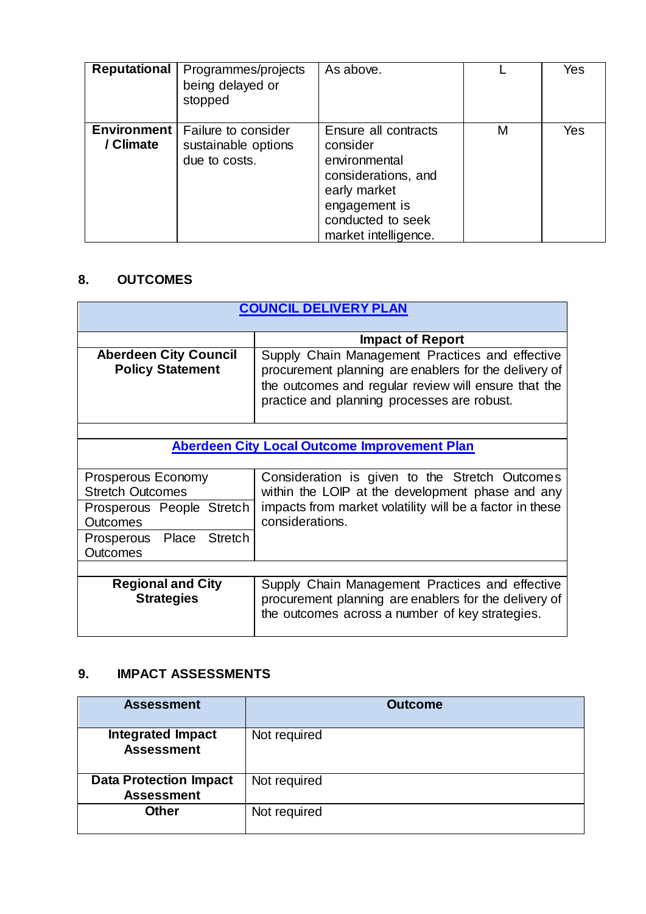| <b>Reputational</b>             | Programmes/projects<br>being delayed or<br>stopped          | As above.                                                                                                                                              |   | Yes |
|---------------------------------|-------------------------------------------------------------|--------------------------------------------------------------------------------------------------------------------------------------------------------|---|-----|
| <b>Environment</b><br>/ Climate | Failure to consider<br>sustainable options<br>due to costs. | Ensure all contracts<br>consider<br>environmental<br>considerations, and<br>early market<br>engagement is<br>conducted to seek<br>market intelligence. | М | Yes |

## **8. OUTCOMES**

| <b>COUNCIL DELIVERY PLAN</b>                            |                                                                                                                                                                                                                 |  |  |  |
|---------------------------------------------------------|-----------------------------------------------------------------------------------------------------------------------------------------------------------------------------------------------------------------|--|--|--|
|                                                         | <b>Impact of Report</b>                                                                                                                                                                                         |  |  |  |
| <b>Aberdeen City Council</b><br><b>Policy Statement</b> | Supply Chain Management Practices and effective<br>procurement planning are enablers for the delivery of<br>the outcomes and regular review will ensure that the<br>practice and planning processes are robust. |  |  |  |
|                                                         |                                                                                                                                                                                                                 |  |  |  |
|                                                         | <b>Aberdeen City Local Outcome Improvement Plan</b>                                                                                                                                                             |  |  |  |
| Prosperous Economy<br><b>Stretch Outcomes</b>           | Consideration is given to the Stretch Outcomes<br>within the LOIP at the development phase and any                                                                                                              |  |  |  |
| Prosperous People Stretch<br><b>Outcomes</b>            | impacts from market volatility will be a factor in these<br>considerations.                                                                                                                                     |  |  |  |
| Prosperous Place Stretch<br><b>Outcomes</b>             |                                                                                                                                                                                                                 |  |  |  |
|                                                         |                                                                                                                                                                                                                 |  |  |  |
| <b>Regional and City</b><br><b>Strategies</b>           | Supply Chain Management Practices and effective<br>procurement planning are enablers for the delivery of<br>the outcomes across a number of key strategies.                                                     |  |  |  |

# **9. IMPACT ASSESSMENTS**

| <b>Assessment</b>                                  | <b>Outcome</b> |
|----------------------------------------------------|----------------|
| <b>Integrated Impact</b><br><b>Assessment</b>      | Not required   |
| <b>Data Protection Impact</b><br><b>Assessment</b> | Not required   |
| <b>Other</b>                                       | Not required   |